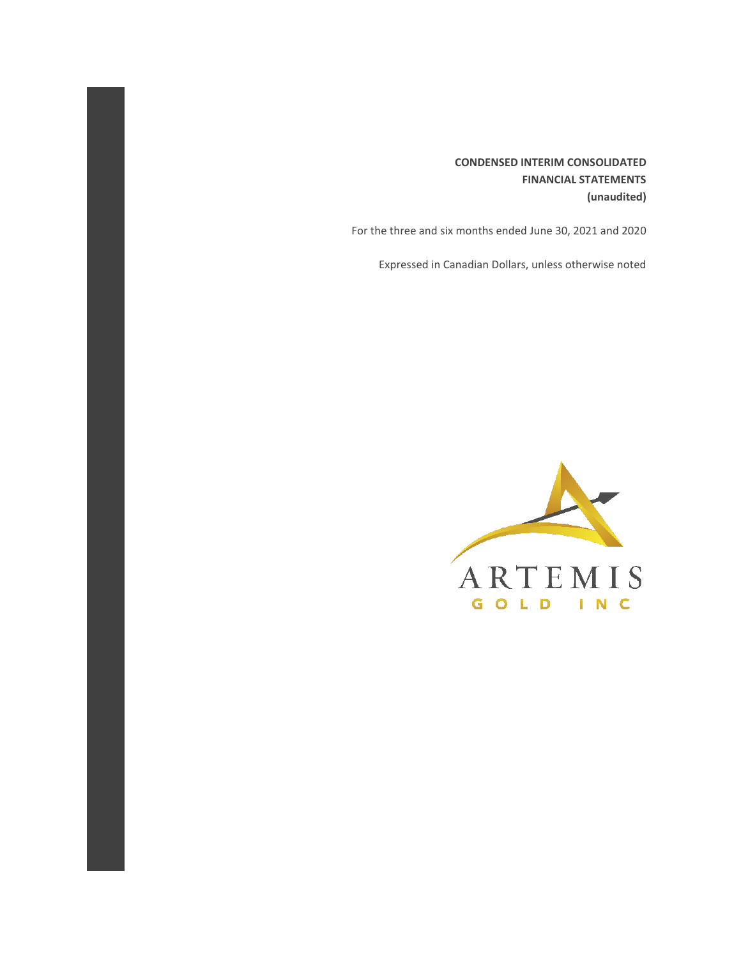**CONDENSED INTERIM CONSOLIDATED FINANCIAL STATEMENTS (unaudited)**

For the three and six months ended June 30, 2021 and 2020

Expressed in Canadian Dollars, unless otherwise noted

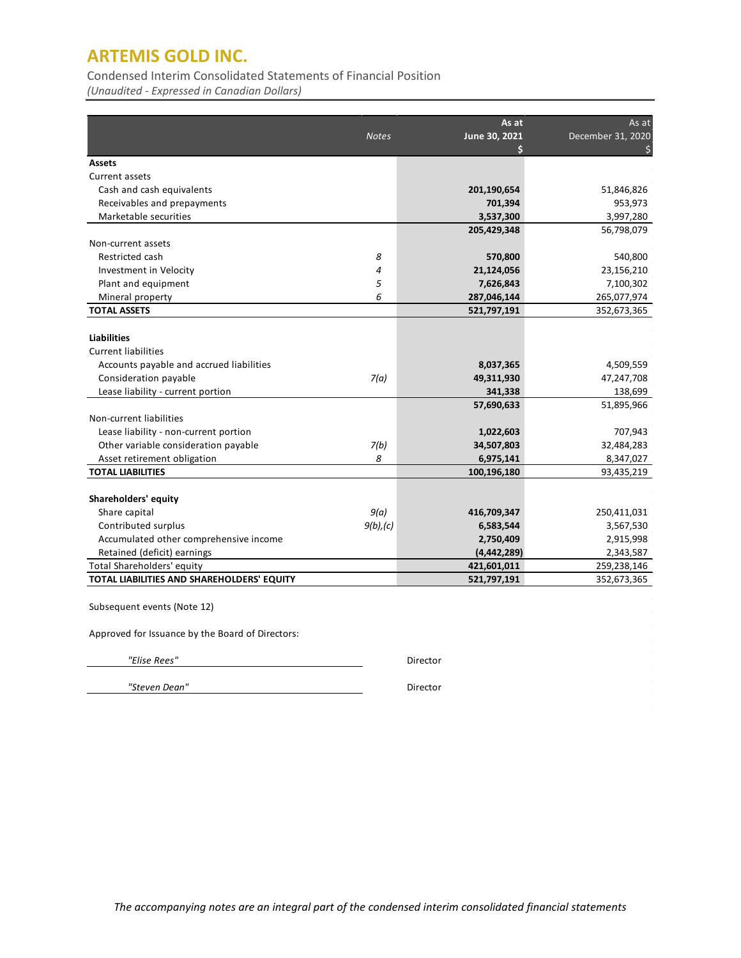Condensed Interim Consolidated Statements of Financial Position

*(Unaudited - Expressed in Canadian Dollars)*

|                                            | <b>Notes</b> | As at<br>June 30, 2021 | As at<br>December 31, 2020 |
|--------------------------------------------|--------------|------------------------|----------------------------|
|                                            |              |                        |                            |
| <b>Assets</b>                              |              |                        |                            |
| Current assets                             |              |                        |                            |
| Cash and cash equivalents                  |              | 201,190,654            | 51,846,826                 |
| Receivables and prepayments                |              | 701,394                | 953,973                    |
| Marketable securities                      |              | 3,537,300              | 3,997,280                  |
|                                            |              | 205,429,348            | 56,798,079                 |
| Non-current assets                         |              |                        |                            |
| Restricted cash                            | 8            | 570,800                | 540,800                    |
| Investment in Velocity                     | 4            | 21,124,056             | 23,156,210                 |
| Plant and equipment                        | 5            | 7,626,843              | 7,100,302                  |
| Mineral property                           | 6            | 287,046,144            | 265,077,974                |
| <b>TOTAL ASSETS</b>                        |              | 521,797,191            | 352,673,365                |
|                                            |              |                        |                            |
| <b>Liabilities</b>                         |              |                        |                            |
| <b>Current liabilities</b>                 |              |                        |                            |
| Accounts payable and accrued liabilities   |              | 8,037,365              | 4,509,559                  |
| Consideration payable                      | 7(a)         | 49,311,930             | 47,247,708                 |
| Lease liability - current portion          |              | 341,338                | 138,699                    |
|                                            |              | 57,690,633             | 51,895,966                 |
| Non-current liabilities                    |              |                        |                            |
| Lease liability - non-current portion      |              | 1,022,603              | 707,943                    |
| Other variable consideration payable       | 7(b)         | 34,507,803             | 32,484,283                 |
| Asset retirement obligation                | 8            | 6,975,141              | 8,347,027                  |
| <b>TOTAL LIABILITIES</b>                   |              | 100,196,180            | 93,435,219                 |
|                                            |              |                        |                            |
| Shareholders' equity                       |              |                        |                            |
| Share capital                              | 9(a)         | 416,709,347            | 250,411,031                |
| Contributed surplus                        | $9(b)$ , (c) | 6,583,544              | 3,567,530                  |
| Accumulated other comprehensive income     |              | 2,750,409              | 2,915,998                  |
| Retained (deficit) earnings                |              | (4, 442, 289)          | 2,343,587                  |
| Total Shareholders' equity                 |              | 421,601,011            | 259,238,146                |
| TOTAL LIABILITIES AND SHAREHOLDERS' EQUITY |              | 521,797,191            | 352,673,365                |

Subsequent events (Note 12)

Approved for Issuance by the Board of Directors:

 *"Elise Rees"* Director

 *"Steven Dean"* Director

*The accompanying notes are an integral part of the condensed interim consolidated financial statements*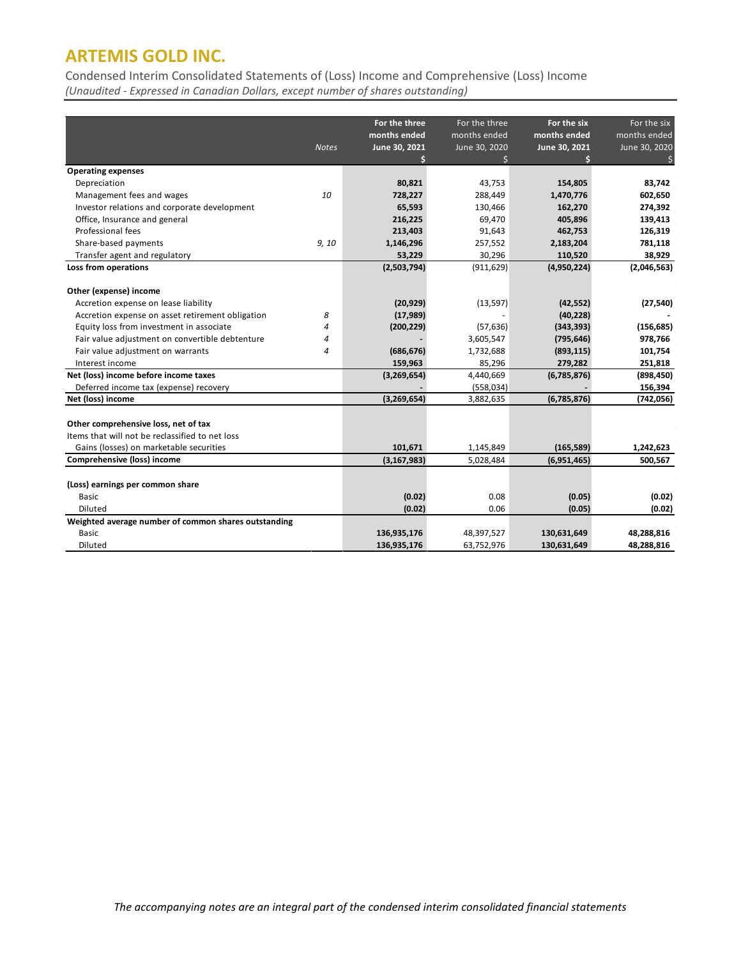Condensed Interim Consolidated Statements of (Loss) Income and Comprehensive (Loss) Income *(Unaudited - Expressed in Canadian Dollars, except number of shares outstanding)*

|                                                      |              | For the three | For the three | For the six   | For the six   |
|------------------------------------------------------|--------------|---------------|---------------|---------------|---------------|
|                                                      |              | months ended  | months ended  | months ended  | months ended  |
|                                                      | <b>Notes</b> | June 30, 2021 | June 30, 2020 | June 30, 2021 | June 30, 2020 |
|                                                      |              |               |               |               |               |
| <b>Operating expenses</b>                            |              |               |               |               |               |
| Depreciation                                         |              | 80,821        | 43,753        | 154,805       | 83,742        |
| Management fees and wages                            | 10           | 728,227       | 288,449       | 1,470,776     | 602,650       |
| Investor relations and corporate development         |              | 65,593        | 130,466       | 162,270       | 274,392       |
| Office, Insurance and general                        |              | 216,225       | 69,470        | 405,896       | 139,413       |
| Professional fees                                    |              | 213,403       | 91,643        | 462,753       | 126,319       |
| Share-based payments                                 | 9,10         | 1,146,296     | 257,552       | 2,183,204     | 781,118       |
| Transfer agent and regulatory                        |              | 53,229        | 30,296        | 110,520       | 38,929        |
| Loss from operations                                 |              | (2,503,794)   | (911, 629)    | (4,950,224)   | (2,046,563)   |
|                                                      |              |               |               |               |               |
| Other (expense) income                               |              |               |               |               |               |
| Accretion expense on lease liability                 |              | (20, 929)     | (13, 597)     | (42, 552)     | (27, 540)     |
| Accretion expense on asset retirement obligation     | 8            | (17, 989)     |               | (40, 228)     |               |
| Equity loss from investment in associate             | 4            | (200, 229)    | (57, 636)     | (343, 393)    | (156, 685)    |
| Fair value adjustment on convertible debtenture      | 4            |               | 3,605,547     | (795, 646)    | 978,766       |
| Fair value adjustment on warrants                    | 4            | (686, 676)    | 1,732,688     | (893, 115)    | 101,754       |
| Interest income                                      |              | 159,963       | 85,296        | 279,282       | 251,818       |
| Net (loss) income before income taxes                |              | (3,269,654)   | 4,440,669     | (6,785,876)   | (898, 450)    |
| Deferred income tax (expense) recovery               |              |               | (558, 034)    |               | 156,394       |
| Net (loss) income                                    |              | (3,269,654)   | 3,882,635     | (6,785,876)   | (742, 056)    |
|                                                      |              |               |               |               |               |
| Other comprehensive loss, net of tax                 |              |               |               |               |               |
| Items that will not be reclassified to net loss      |              |               |               |               |               |
| Gains (losses) on marketable securities              |              | 101,671       | 1,145,849     | (165, 589)    | 1,242,623     |
| Comprehensive (loss) income                          |              | (3, 167, 983) | 5,028,484     | (6,951,465)   | 500,567       |
|                                                      |              |               |               |               |               |
| (Loss) earnings per common share                     |              |               |               |               |               |
| Basic                                                |              | (0.02)        | 0.08          | (0.05)        | (0.02)        |
| Diluted                                              |              | (0.02)        | 0.06          | (0.05)        | (0.02)        |
| Weighted average number of common shares outstanding |              |               |               |               |               |
| <b>Basic</b>                                         |              | 136,935,176   | 48,397,527    | 130,631,649   | 48,288,816    |
| Diluted                                              |              | 136,935,176   | 63,752,976    | 130,631,649   | 48,288,816    |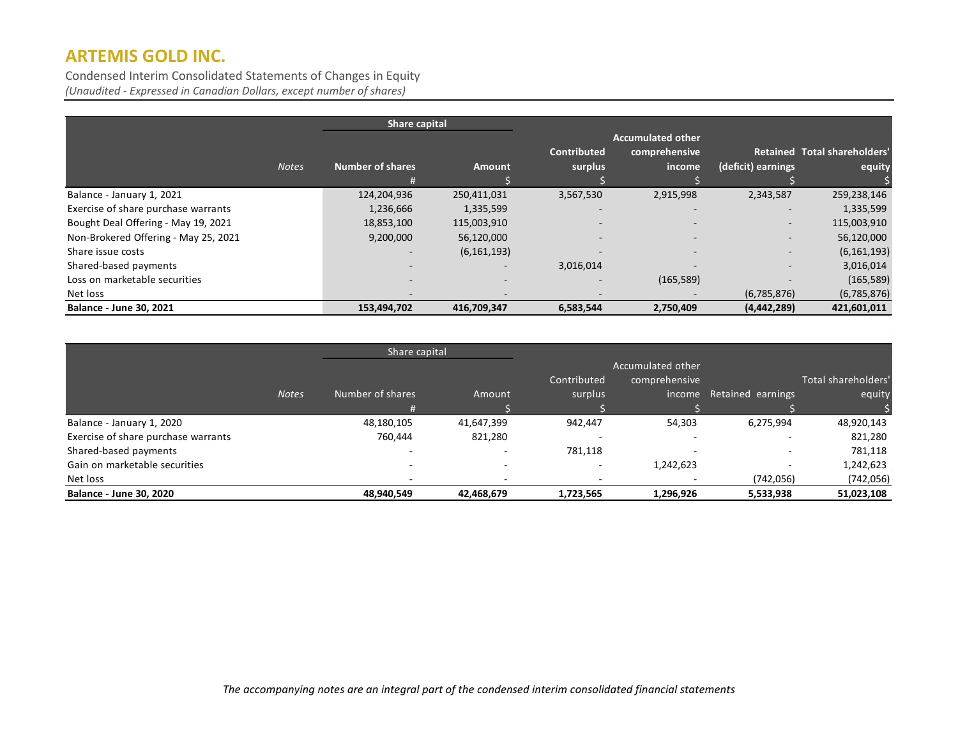Condensed Interim Consolidated Statements of Changes in Equity *(Unaudited - Expressed in Canadian Dollars, except number of shares)*

|                                      |              | Share capital            |               |                          |                                           |                          |                              |
|--------------------------------------|--------------|--------------------------|---------------|--------------------------|-------------------------------------------|--------------------------|------------------------------|
|                                      |              |                          |               | <b>Contributed</b>       | <b>Accumulated other</b><br>comprehensive |                          | Retained Total shareholders' |
|                                      | <b>Notes</b> | <b>Number of shares</b>  | Amount        | surplus                  | income                                    | (deficit) earnings       | equity                       |
|                                      |              | #                        |               |                          |                                           |                          |                              |
| Balance - January 1, 2021            |              | 124,204,936              | 250,411,031   | 3,567,530                | 2,915,998                                 | 2,343,587                | 259,238,146                  |
| Exercise of share purchase warrants  |              | 1,236,666                | 1,335,599     | $\overline{\phantom{0}}$ | $\overline{\phantom{0}}$                  | $\overline{\phantom{0}}$ | 1,335,599                    |
| Bought Deal Offering - May 19, 2021  |              | 18,853,100               | 115,003,910   | $\overline{\phantom{a}}$ | -                                         | ۰.                       | 115,003,910                  |
| Non-Brokered Offering - May 25, 2021 |              | 9,200,000                | 56,120,000    | $\overline{\phantom{a}}$ |                                           | $\overline{\phantom{0}}$ | 56,120,000                   |
| Share issue costs                    |              |                          | (6, 161, 193) | $\overline{\phantom{a}}$ |                                           | $\overline{\phantom{a}}$ | (6, 161, 193)                |
| Shared-based payments                |              | $\overline{\phantom{a}}$ | $\sim$        | 3,016,014                | $\overline{\phantom{a}}$                  | $\overline{\phantom{a}}$ | 3,016,014                    |
| Loss on marketable securities        |              | $\overline{\phantom{0}}$ | $\sim$        | $\overline{\phantom{a}}$ | (165, 589)                                | $\overline{\phantom{a}}$ | (165, 589)                   |
| Net loss                             |              |                          |               |                          |                                           | (6,785,876)              | (6,785,876)                  |
| <b>Balance - June 30, 2021</b>       |              | 153,494,702              | 416,709,347   | 6,583,544                | 2,750,409                                 | (4,442,289)              | 421,601,011                  |

|                                     | Share capital |                          |            |             |                   |                   |                     |
|-------------------------------------|---------------|--------------------------|------------|-------------|-------------------|-------------------|---------------------|
|                                     |               |                          |            |             | Accumulated other |                   |                     |
|                                     |               |                          |            | Contributed | comprehensive     |                   | Total shareholders' |
|                                     | <b>Notes</b>  | Number of shares         | Amount     | surplus     | income            | Retained earnings | equity              |
|                                     |               |                          |            |             |                   |                   |                     |
| Balance - January 1, 2020           |               | 48,180,105               | 41,647,399 | 942,447     | 54,303            | 6,275,994         | 48,920,143          |
| Exercise of share purchase warrants |               | 760,444                  | 821,280    |             |                   |                   | 821,280             |
| Shared-based payments               |               | $\overline{\phantom{0}}$ |            | 781,118     |                   | $\sim$            | 781,118             |
| Gain on marketable securities       |               |                          |            | -           | 1,242,623         |                   | 1,242,623           |
| Net loss                            |               |                          |            |             |                   | (742, 056)        | (742, 056)          |
| <b>Balance - June 30, 2020</b>      |               | 48,940,549               | 42,468,679 | 1,723,565   | 1,296,926         | 5,533,938         | 51,023,108          |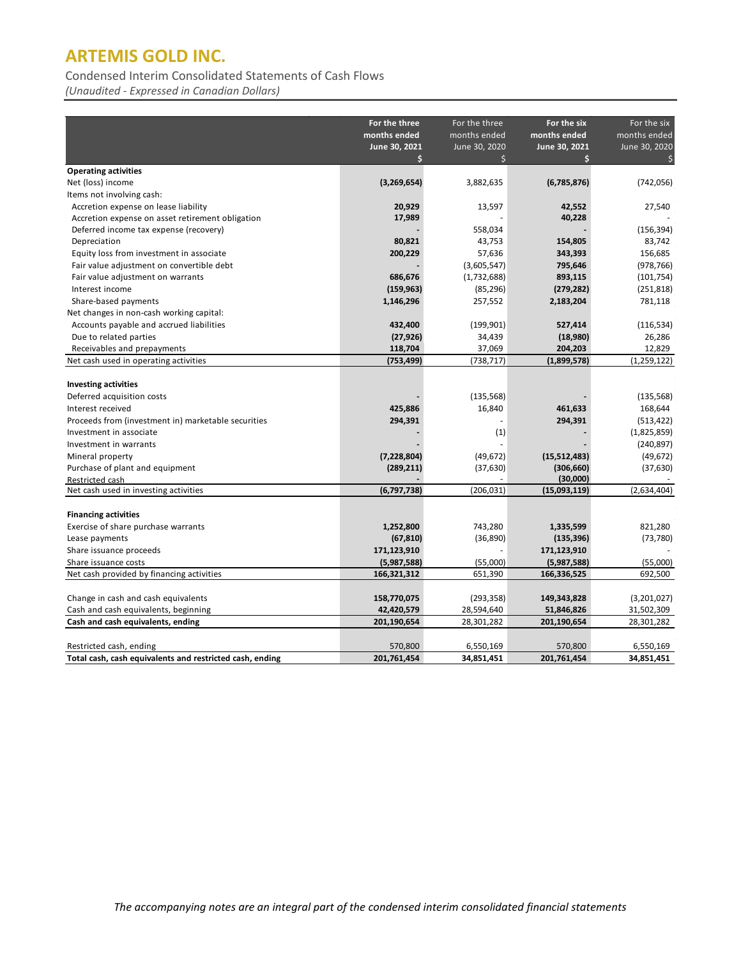Condensed Interim Consolidated Statements of Cash Flows

*(Unaudited - Expressed in Canadian Dollars)*

|                                                          | For the three | For the three | For the six   | For the six   |
|----------------------------------------------------------|---------------|---------------|---------------|---------------|
|                                                          | months ended  | months ended  | months ended  | months ended  |
|                                                          | June 30, 2021 | June 30, 2020 | June 30, 2021 | June 30, 2020 |
|                                                          | Ś             | Ś             | 4             |               |
| <b>Operating activities</b>                              |               |               |               |               |
| Net (loss) income                                        | (3,269,654)   | 3,882,635     | (6,785,876)   | (742, 056)    |
| Items not involving cash:                                |               |               |               |               |
| Accretion expense on lease liability                     | 20,929        | 13,597        | 42,552        | 27,540        |
| Accretion expense on asset retirement obligation         | 17,989        |               | 40,228        |               |
| Deferred income tax expense (recovery)                   |               | 558,034       |               | (156, 394)    |
| Depreciation                                             | 80,821        | 43,753        | 154,805       | 83,742        |
| Equity loss from investment in associate                 | 200,229       | 57,636        | 343,393       | 156,685       |
| Fair value adjustment on convertible debt                |               | (3,605,547)   | 795,646       | (978, 766)    |
| Fair value adjustment on warrants                        | 686,676       | (1,732,688)   | 893,115       | (101, 754)    |
| Interest income                                          | (159, 963)    | (85, 296)     | (279, 282)    | (251, 818)    |
| Share-based payments                                     | 1,146,296     | 257,552       | 2,183,204     | 781,118       |
| Net changes in non-cash working capital:                 |               |               |               |               |
| Accounts payable and accrued liabilities                 | 432,400       | (199, 901)    | 527,414       | (116, 534)    |
| Due to related parties                                   | (27, 926)     | 34,439        | (18,980)      | 26,286        |
| Receivables and prepayments                              | 118,704       | 37,069        | 204,203       | 12,829        |
| Net cash used in operating activities                    | (753, 499)    | (738, 717)    | (1,899,578)   | (1, 259, 122) |
|                                                          |               |               |               |               |
| <b>Investing activities</b>                              |               |               |               |               |
| Deferred acquisition costs                               |               | (135, 568)    |               | (135, 568)    |
| Interest received                                        | 425,886       | 16,840        | 461,633       | 168,644       |
| Proceeds from (investment in) marketable securities      | 294,391       |               | 294,391       | (513, 422)    |
| Investment in associate                                  |               | (1)           |               | (1,825,859)   |
| Investment in warrants                                   |               |               |               | (240, 897)    |
| Mineral property                                         | (7, 228, 804) | (49, 672)     | (15,512,483)  | (49, 672)     |
| Purchase of plant and equipment                          | (289, 211)    | (37, 630)     | (306, 660)    | (37, 630)     |
| Restricted cash                                          |               |               | (30,000)      |               |
| Net cash used in investing activities                    | (6,797,738)   | (206, 031)    | (15,093,119)  | (2,634,404)   |
|                                                          |               |               |               |               |
| <b>Financing activities</b>                              |               |               |               |               |
| Exercise of share purchase warrants                      | 1,252,800     | 743,280       | 1,335,599     | 821,280       |
| Lease payments                                           | (67, 810)     | (36, 890)     | (135, 396)    | (73, 780)     |
| Share issuance proceeds                                  | 171,123,910   |               | 171,123,910   |               |
| Share issuance costs                                     | (5,987,588)   | (55,000)      | (5,987,588)   | (55,000)      |
| Net cash provided by financing activities                | 166,321,312   | 651,390       | 166,336,525   | 692,500       |
|                                                          |               |               |               |               |
| Change in cash and cash equivalents                      | 158,770,075   | (293, 358)    | 149,343,828   | (3,201,027)   |
| Cash and cash equivalents, beginning                     | 42,420,579    | 28,594,640    | 51,846,826    | 31,502,309    |
| Cash and cash equivalents, ending                        | 201,190,654   | 28,301,282    | 201,190,654   | 28,301,282    |
|                                                          |               |               |               |               |
| Restricted cash, ending                                  | 570,800       | 6,550,169     | 570,800       | 6,550,169     |
| Total cash, cash equivalents and restricted cash, ending | 201.761.454   | 34,851,451    | 201,761,454   | 34,851,451    |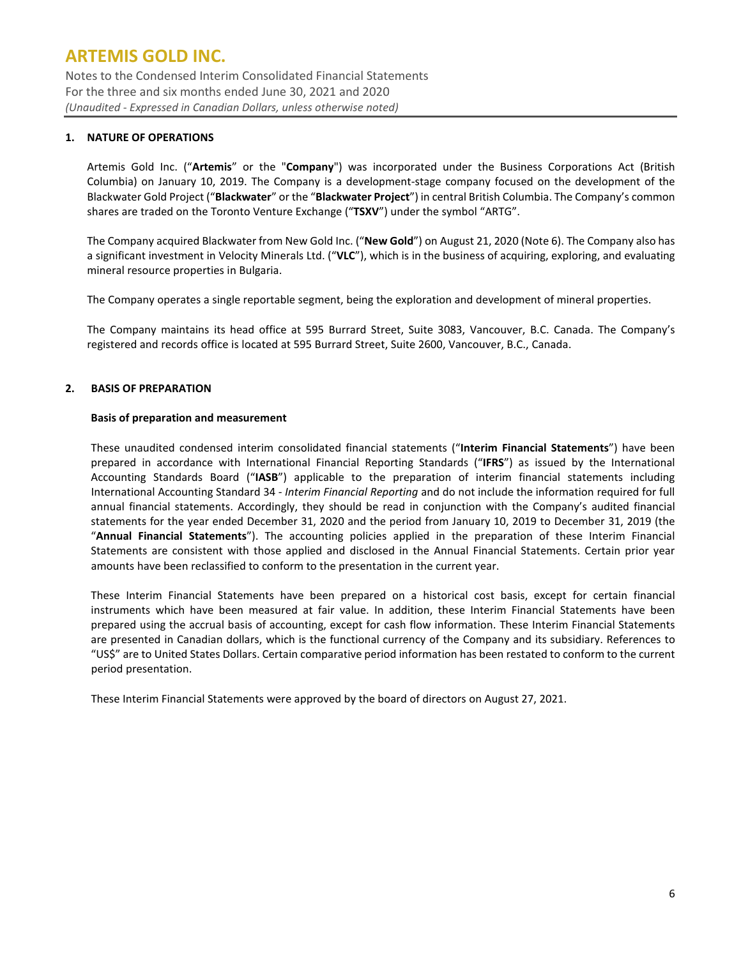Notes to the Condensed Interim Consolidated Financial Statements For the three and six months ended June 30, 2021 and 2020 *(Unaudited - Expressed in Canadian Dollars, unless otherwise noted)*

### **1. NATURE OF OPERATIONS**

Artemis Gold Inc. ("**Artemis**" or the "**Company**") was incorporated under the Business Corporations Act (British Columbia) on January 10, 2019. The Company is a development-stage company focused on the development of the Blackwater Gold Project ("**Blackwater**" or the "**Blackwater Project**") in central British Columbia. The Company's common shares are traded on the Toronto Venture Exchange ("**TSXV**") under the symbol "ARTG".

The Company acquired Blackwater from New Gold Inc. ("**New Gold**") on August 21, 2020 (Note 6). The Company also has a significant investment in Velocity Minerals Ltd. ("**VLC**"), which is in the business of acquiring, exploring, and evaluating mineral resource properties in Bulgaria.

The Company operates a single reportable segment, being the exploration and development of mineral properties.

The Company maintains its head office at 595 Burrard Street, Suite 3083, Vancouver, B.C. Canada. The Company's registered and records office is located at 595 Burrard Street, Suite 2600, Vancouver, B.C., Canada.

#### **2. BASIS OF PREPARATION**

#### **Basis of preparation and measurement**

These unaudited condensed interim consolidated financial statements ("**Interim Financial Statements**") have been prepared in accordance with International Financial Reporting Standards ("**IFRS**") as issued by the International Accounting Standards Board ("**IASB**") applicable to the preparation of interim financial statements including International Accounting Standard 34 - *Interim Financial Reporting* and do not include the information required for full annual financial statements. Accordingly, they should be read in conjunction with the Company's audited financial statements for the year ended December 31, 2020 and the period from January 10, 2019 to December 31, 2019 (the "**Annual Financial Statements**"). The accounting policies applied in the preparation of these Interim Financial Statements are consistent with those applied and disclosed in the Annual Financial Statements. Certain prior year amounts have been reclassified to conform to the presentation in the current year.

These Interim Financial Statements have been prepared on a historical cost basis, except for certain financial instruments which have been measured at fair value. In addition, these Interim Financial Statements have been prepared using the accrual basis of accounting, except for cash flow information. These Interim Financial Statements are presented in Canadian dollars, which is the functional currency of the Company and its subsidiary. References to "US\$" are to United States Dollars. Certain comparative period information has been restated to conform to the current period presentation.

These Interim Financial Statements were approved by the board of directors on August 27, 2021.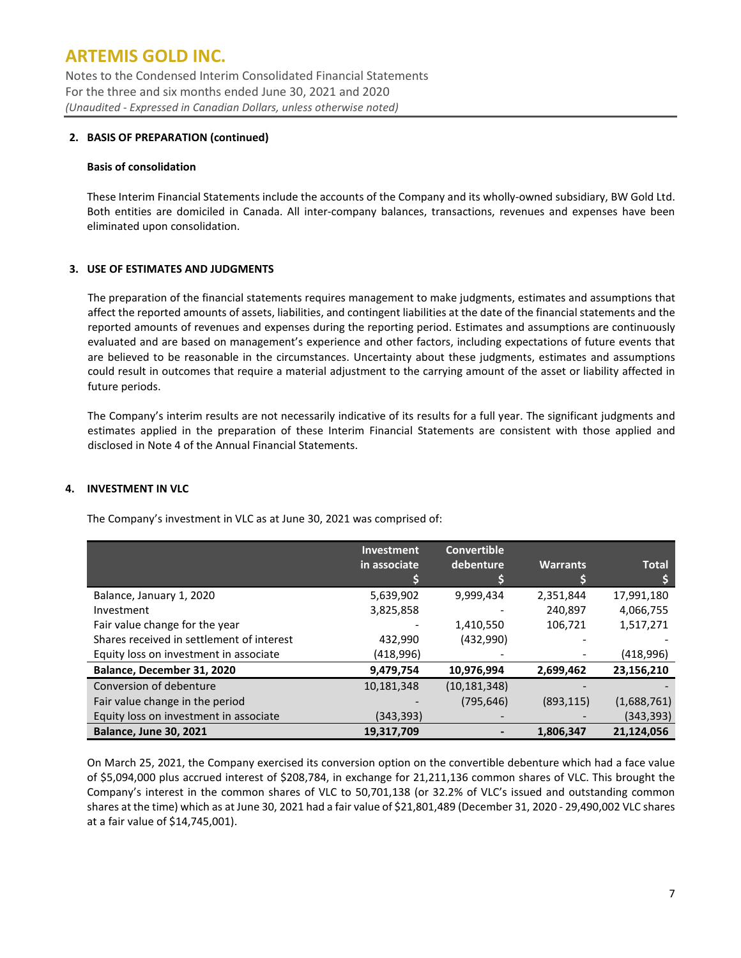Notes to the Condensed Interim Consolidated Financial Statements For the three and six months ended June 30, 2021 and 2020 *(Unaudited - Expressed in Canadian Dollars, unless otherwise noted)*

### **2. BASIS OF PREPARATION (continued)**

#### **Basis of consolidation**

These Interim Financial Statements include the accounts of the Company and its wholly-owned subsidiary, BW Gold Ltd. Both entities are domiciled in Canada. All inter-company balances, transactions, revenues and expenses have been eliminated upon consolidation.

### **3. USE OF ESTIMATES AND JUDGMENTS**

The preparation of the financial statements requires management to make judgments, estimates and assumptions that affect the reported amounts of assets, liabilities, and contingent liabilities at the date of the financial statements and the reported amounts of revenues and expenses during the reporting period. Estimates and assumptions are continuously evaluated and are based on management's experience and other factors, including expectations of future events that are believed to be reasonable in the circumstances. Uncertainty about these judgments, estimates and assumptions could result in outcomes that require a material adjustment to the carrying amount of the asset or liability affected in future periods.

The Company's interim results are not necessarily indicative of its results for a full year. The significant judgments and estimates applied in the preparation of these Interim Financial Statements are consistent with those applied and disclosed in Note 4 of the Annual Financial Statements.

#### **4. INVESTMENT IN VLC**

The Company's investment in VLC as at June 30, 2021 was comprised of:

|                                           | <b>Investment</b> | <b>Convertible</b> |                 |              |
|-------------------------------------------|-------------------|--------------------|-----------------|--------------|
|                                           | in associate      | debenture          | <b>Warrants</b> | <b>Total</b> |
|                                           |                   |                    |                 |              |
| Balance, January 1, 2020                  | 5,639,902         | 9,999,434          | 2,351,844       | 17,991,180   |
| Investment                                | 3,825,858         |                    | 240,897         | 4,066,755    |
| Fair value change for the year            |                   | 1,410,550          | 106,721         | 1,517,271    |
| Shares received in settlement of interest | 432,990           | (432,990)          |                 |              |
| Equity loss on investment in associate    | (418,996)         |                    |                 | (418,996)    |
| Balance, December 31, 2020                | 9,479,754         | 10,976,994         | 2,699,462       | 23,156,210   |
| Conversion of debenture                   | 10,181,348        | (10, 181, 348)     |                 |              |
| Fair value change in the period           |                   | (795, 646)         | (893, 115)      | (1,688,761)  |
| Equity loss on investment in associate    | (343, 393)        |                    |                 | (343,393)    |
| <b>Balance, June 30, 2021</b>             | 19,317,709        |                    | 1,806,347       | 21,124,056   |

On March 25, 2021, the Company exercised its conversion option on the convertible debenture which had a face value of \$5,094,000 plus accrued interest of \$208,784, in exchange for 21,211,136 common shares of VLC. This brought the Company's interest in the common shares of VLC to 50,701,138 (or 32.2% of VLC's issued and outstanding common shares at the time) which as at June 30, 2021 had a fair value of \$21,801,489 (December 31, 2020 - 29,490,002 VLC shares at a fair value of \$14,745,001).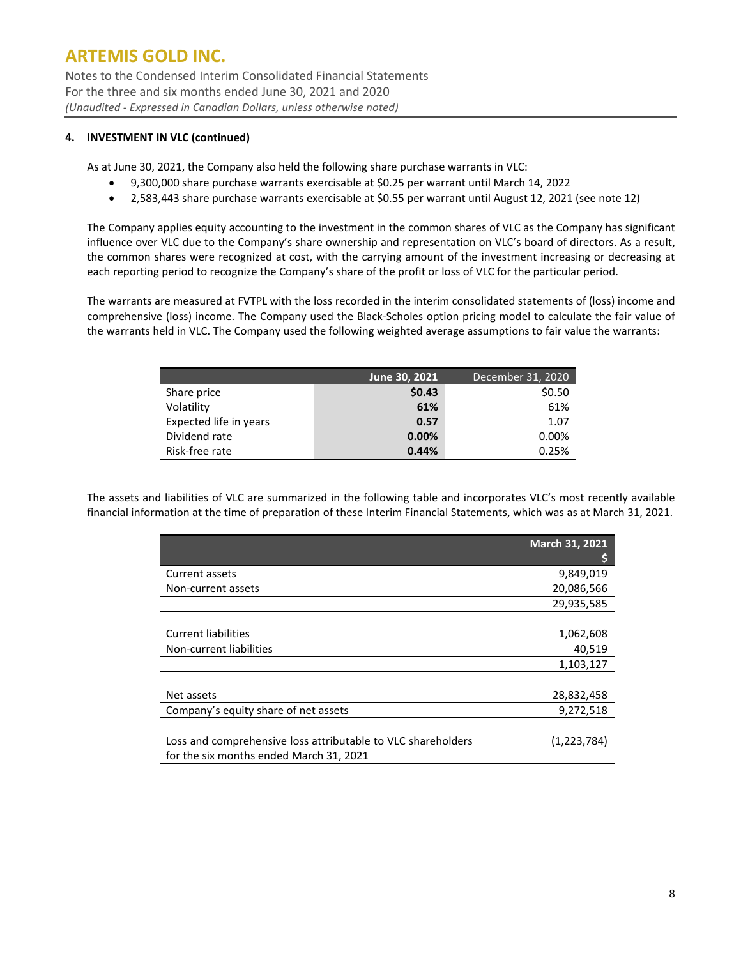Notes to the Condensed Interim Consolidated Financial Statements For the three and six months ended June 30, 2021 and 2020 *(Unaudited - Expressed in Canadian Dollars, unless otherwise noted)*

### **4. INVESTMENT IN VLC (continued)**

As at June 30, 2021, the Company also held the following share purchase warrants in VLC:

- 9,300,000 share purchase warrants exercisable at \$0.25 per warrant until March 14, 2022
- 2,583,443 share purchase warrants exercisable at \$0.55 per warrant until August 12, 2021 (see note 12)

The Company applies equity accounting to the investment in the common shares of VLC as the Company has significant influence over VLC due to the Company's share ownership and representation on VLC's board of directors. As a result, the common shares were recognized at cost, with the carrying amount of the investment increasing or decreasing at each reporting period to recognize the Company's share of the profit or loss of VLC for the particular period.

The warrants are measured at FVTPL with the loss recorded in the interim consolidated statements of (loss) income and comprehensive (loss) income. The Company used the Black-Scholes option pricing model to calculate the fair value of the warrants held in VLC. The Company used the following weighted average assumptions to fair value the warrants:

|                        | June 30, 2021 | December 31, 2020 |
|------------------------|---------------|-------------------|
| Share price            | \$0.43        | \$0.50            |
| Volatility             | 61%           | 61%               |
| Expected life in years | 0.57          | 1.07              |
| Dividend rate          | $0.00\%$      | 0.00%             |
| Risk-free rate         | 0.44%         | 0.25%             |

The assets and liabilities of VLC are summarized in the following table and incorporates VLC's most recently available financial information at the time of preparation of these Interim Financial Statements, which was as at March 31, 2021.

|                                                              | March 31, 2021 |
|--------------------------------------------------------------|----------------|
| Current assets                                               | 9,849,019      |
| Non-current assets                                           | 20,086,566     |
|                                                              | 29,935,585     |
|                                                              |                |
| <b>Current liabilities</b>                                   | 1,062,608      |
| Non-current liabilities                                      | 40,519         |
|                                                              | 1,103,127      |
|                                                              |                |
| Net assets                                                   | 28,832,458     |
| Company's equity share of net assets                         | 9,272,518      |
|                                                              |                |
| Loss and comprehensive loss attributable to VLC shareholders | (1,223,784)    |
| for the six months ended March 31, 2021                      |                |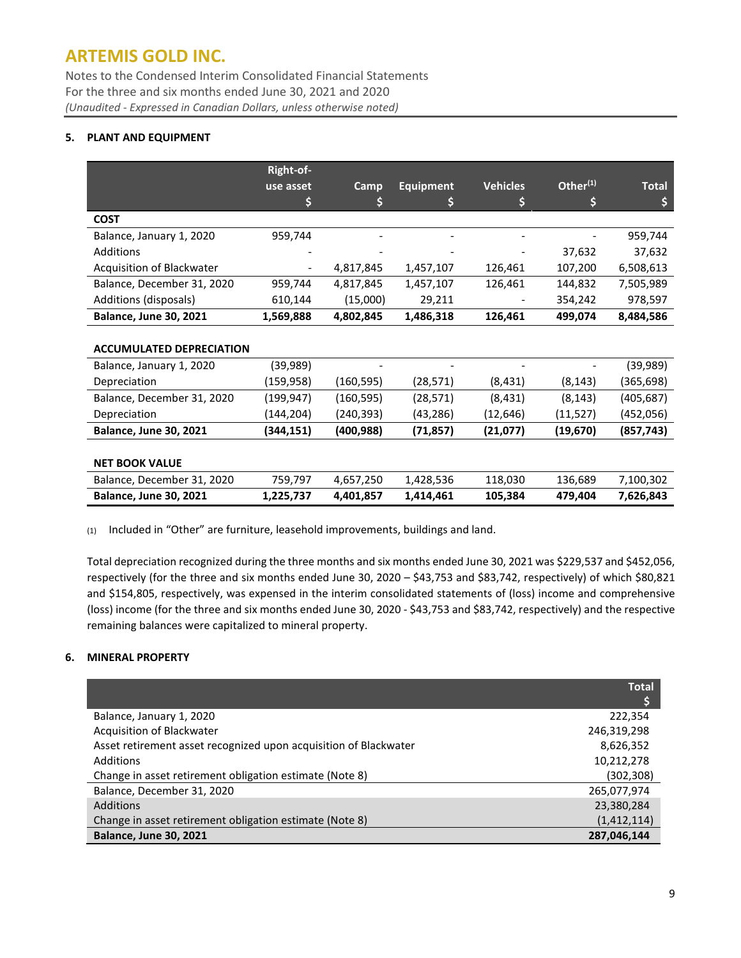Notes to the Condensed Interim Consolidated Financial Statements For the three and six months ended June 30, 2021 and 2020 *(Unaudited - Expressed in Canadian Dollars, unless otherwise noted)*

### **5. PLANT AND EQUIPMENT**

|                                 | Right-of-  |            |                  |                 |             |              |
|---------------------------------|------------|------------|------------------|-----------------|-------------|--------------|
|                                 | use asset  | Camp       | <b>Equipment</b> | <b>Vehicles</b> | Other $(1)$ | <b>Total</b> |
|                                 | \$         | \$         | \$               | S               | \$          | \$           |
| <b>COST</b>                     |            |            |                  |                 |             |              |
| Balance, January 1, 2020        | 959,744    |            |                  |                 |             | 959,744      |
| Additions                       |            |            |                  |                 | 37,632      | 37,632       |
| Acquisition of Blackwater       |            | 4,817,845  | 1,457,107        | 126,461         | 107,200     | 6,508,613    |
| Balance, December 31, 2020      | 959,744    | 4,817,845  | 1,457,107        | 126,461         | 144,832     | 7,505,989    |
| Additions (disposals)           | 610,144    | (15,000)   | 29,211           |                 | 354,242     | 978,597      |
| <b>Balance, June 30, 2021</b>   | 1,569,888  | 4,802,845  | 1,486,318        | 126,461         | 499,074     | 8,484,586    |
|                                 |            |            |                  |                 |             |              |
| <b>ACCUMULATED DEPRECIATION</b> |            |            |                  |                 |             |              |
| Balance, January 1, 2020        | (39,989)   |            |                  |                 |             | (39, 989)    |
| Depreciation                    | (159, 958) | (160, 595) | (28,571)         | (8,431)         | (8, 143)    | (365, 698)   |
| Balance, December 31, 2020      | (199, 947) | (160,595)  | (28,571)         | (8, 431)        | (8, 143)    | (405,687)    |
| Depreciation                    | (144,204)  | (240,393)  | (43,286)         | (12, 646)       | (11, 527)   | (452,056)    |
| <b>Balance, June 30, 2021</b>   | (344,151)  | (400,988)  | (71, 857)        | (21,077)        | (19, 670)   | (857, 743)   |
|                                 |            |            |                  |                 |             |              |
| <b>NET BOOK VALUE</b>           |            |            |                  |                 |             |              |
| Balance, December 31, 2020      | 759,797    | 4,657,250  | 1,428,536        | 118,030         | 136,689     | 7,100,302    |
| Balance, June 30, 2021          | 1,225,737  | 4,401,857  | 1,414,461        | 105,384         | 479,404     | 7,626,843    |

(1) Included in "Other" are furniture, leasehold improvements, buildings and land.

Total depreciation recognized during the three months and six months ended June 30, 2021 was \$229,537 and \$452,056, respectively (for the three and six months ended June 30, 2020 – \$43,753 and \$83,742, respectively) of which \$80,821 and \$154,805, respectively, was expensed in the interim consolidated statements of (loss) income and comprehensive (loss) income (for the three and six months ended June 30, 2020 - \$43,753 and \$83,742, respectively) and the respective remaining balances were capitalized to mineral property.

### **6. MINERAL PROPERTY**

|                                                                  | <b>Total</b> |
|------------------------------------------------------------------|--------------|
|                                                                  |              |
| Balance, January 1, 2020                                         | 222,354      |
| Acquisition of Blackwater                                        | 246,319,298  |
| Asset retirement asset recognized upon acquisition of Blackwater | 8,626,352    |
| Additions                                                        | 10,212,278   |
| Change in asset retirement obligation estimate (Note 8)          | (302,308)    |
| Balance, December 31, 2020                                       | 265,077,974  |
| <b>Additions</b>                                                 | 23,380,284   |
| Change in asset retirement obligation estimate (Note 8)          | (1,412,114)  |
| <b>Balance, June 30, 2021</b>                                    | 287,046,144  |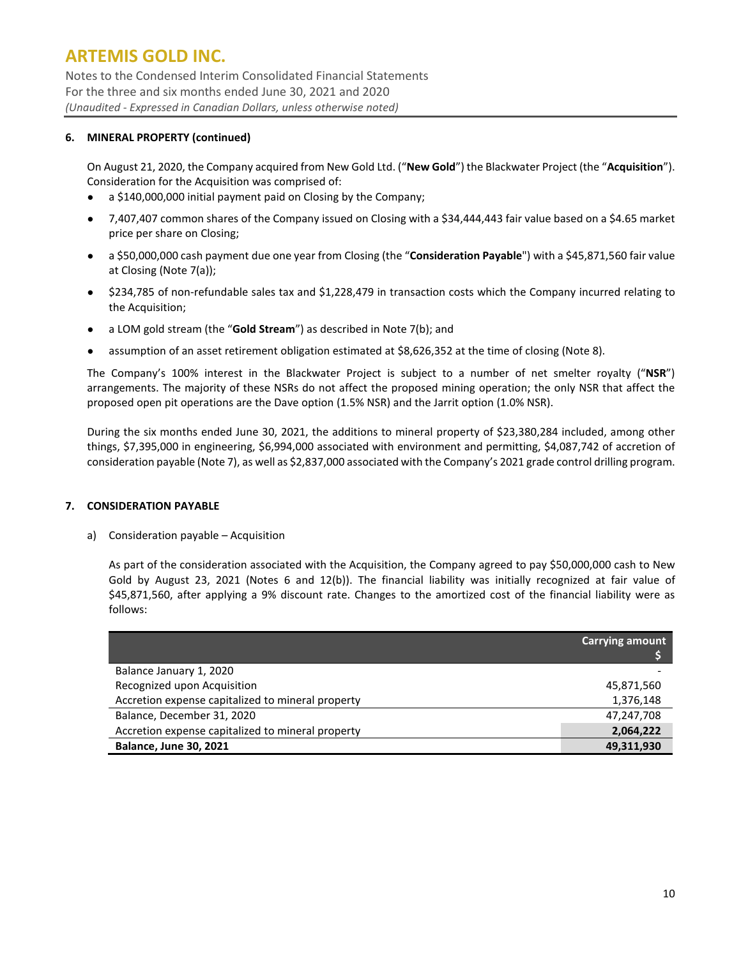Notes to the Condensed Interim Consolidated Financial Statements For the three and six months ended June 30, 2021 and 2020 *(Unaudited - Expressed in Canadian Dollars, unless otherwise noted)*

### **6. MINERAL PROPERTY (continued)**

On August 21, 2020, the Company acquired from New Gold Ltd. ("**New Gold**") the Blackwater Project (the "**Acquisition**"). Consideration for the Acquisition was comprised of:

- a \$140,000,000 initial payment paid on Closing by the Company;
- 7,407,407 common shares of the Company issued on Closing with a \$34,444,443 fair value based on a \$4.65 market price per share on Closing;
- a \$50,000,000 cash payment due one year from Closing (the "**Consideration Payable**") with a \$45,871,560 fair value at Closing (Note 7(a));
- \$234,785 of non-refundable sales tax and \$1,228,479 in transaction costs which the Company incurred relating to the Acquisition;
- a LOM gold stream (the "**Gold Stream**") as described in Note 7(b); and
- assumption of an asset retirement obligation estimated at \$8,626,352 at the time of closing (Note 8).

The Company's 100% interest in the Blackwater Project is subject to a number of net smelter royalty ("**NSR**") arrangements. The majority of these NSRs do not affect the proposed mining operation; the only NSR that affect the proposed open pit operations are the Dave option (1.5% NSR) and the Jarrit option (1.0% NSR).

During the six months ended June 30, 2021, the additions to mineral property of \$23,380,284 included, among other things, \$7,395,000 in engineering, \$6,994,000 associated with environment and permitting, \$4,087,742 of accretion of consideration payable (Note 7), as well as \$2,837,000 associated with the Company's 2021 grade control drilling program.

### **7. CONSIDERATION PAYABLE**

a) Consideration payable – Acquisition

As part of the consideration associated with the Acquisition, the Company agreed to pay \$50,000,000 cash to New Gold by August 23, 2021 (Notes 6 and 12(b)). The financial liability was initially recognized at fair value of \$45,871,560, after applying a 9% discount rate. Changes to the amortized cost of the financial liability were as follows:

|                                                   | <b>Carrying amount</b> |
|---------------------------------------------------|------------------------|
| Balance January 1, 2020                           |                        |
| Recognized upon Acquisition                       | 45,871,560             |
| Accretion expense capitalized to mineral property | 1,376,148              |
| Balance, December 31, 2020                        | 47,247,708             |
| Accretion expense capitalized to mineral property | 2,064,222              |
| <b>Balance, June 30, 2021</b>                     | 49,311,930             |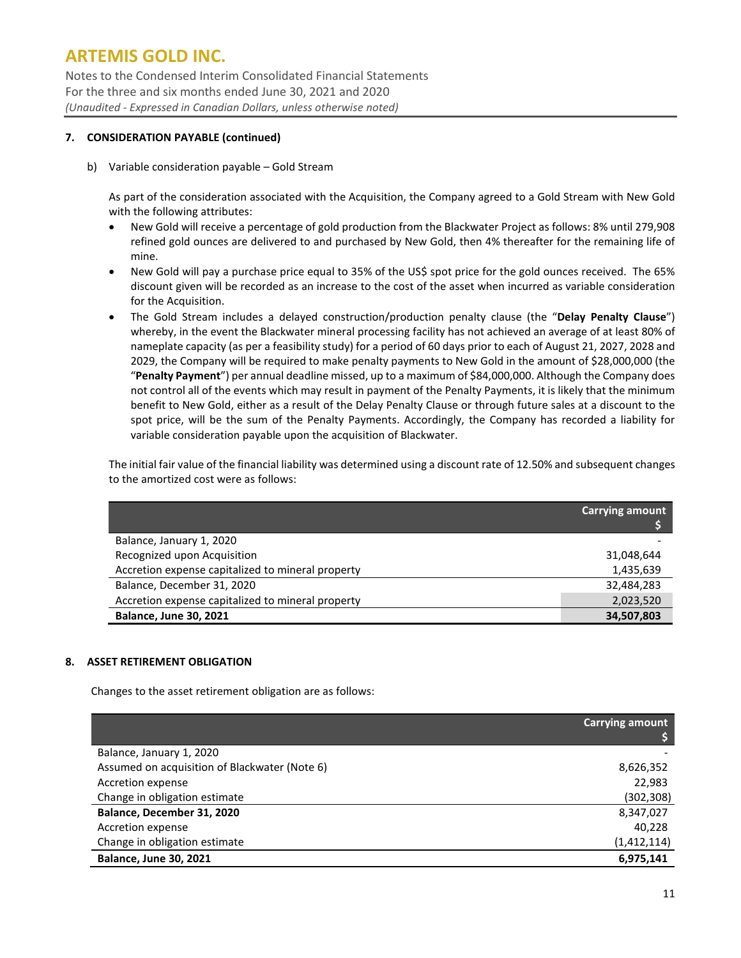Notes to the Condensed Interim Consolidated Financial Statements For the three and six months ended June 30, 2021 and 2020 *(Unaudited - Expressed in Canadian Dollars, unless otherwise noted)*

### **7. CONSIDERATION PAYABLE (continued)**

b) Variable consideration payable – Gold Stream

As part of the consideration associated with the Acquisition, the Company agreed to a Gold Stream with New Gold with the following attributes:

- New Gold will receive a percentage of gold production from the Blackwater Project as follows: 8% until 279,908 refined gold ounces are delivered to and purchased by New Gold, then 4% thereafter for the remaining life of mine.
- New Gold will pay a purchase price equal to 35% of the US\$ spot price for the gold ounces received. The 65% discount given will be recorded as an increase to the cost of the asset when incurred as variable consideration for the Acquisition.
- The Gold Stream includes a delayed construction/production penalty clause (the "**Delay Penalty Clause**") whereby, in the event the Blackwater mineral processing facility has not achieved an average of at least 80% of nameplate capacity (as per a feasibility study) for a period of 60 days prior to each of August 21, 2027, 2028 and 2029, the Company will be required to make penalty payments to New Gold in the amount of \$28,000,000 (the "**Penalty Payment**") per annual deadline missed, up to a maximum of \$84,000,000. Although the Company does not control all of the events which may result in payment of the Penalty Payments, it is likely that the minimum benefit to New Gold, either as a result of the Delay Penalty Clause or through future sales at a discount to the spot price, will be the sum of the Penalty Payments. Accordingly, the Company has recorded a liability for variable consideration payable upon the acquisition of Blackwater.

The initial fair value of the financial liability was determined using a discount rate of 12.50% and subsequent changes to the amortized cost were as follows:

|                                                   | <b>Carrying amount</b> |
|---------------------------------------------------|------------------------|
| Balance, January 1, 2020                          |                        |
| Recognized upon Acquisition                       | 31,048,644             |
| Accretion expense capitalized to mineral property | 1,435,639              |
| Balance, December 31, 2020                        | 32,484,283             |
| Accretion expense capitalized to mineral property | 2,023,520              |
| <b>Balance, June 30, 2021</b>                     | 34,507,803             |

### **8. ASSET RETIREMENT OBLIGATION**

Changes to the asset retirement obligation are as follows:

|                                               | <b>Carrying amount</b> |
|-----------------------------------------------|------------------------|
| Balance, January 1, 2020                      |                        |
| Assumed on acquisition of Blackwater (Note 6) | 8,626,352              |
| Accretion expense                             | 22,983                 |
| Change in obligation estimate                 | (302, 308)             |
| Balance, December 31, 2020                    | 8,347,027              |
| Accretion expense                             | 40,228                 |
| Change in obligation estimate                 | (1, 412, 114)          |
| <b>Balance, June 30, 2021</b>                 | 6,975,141              |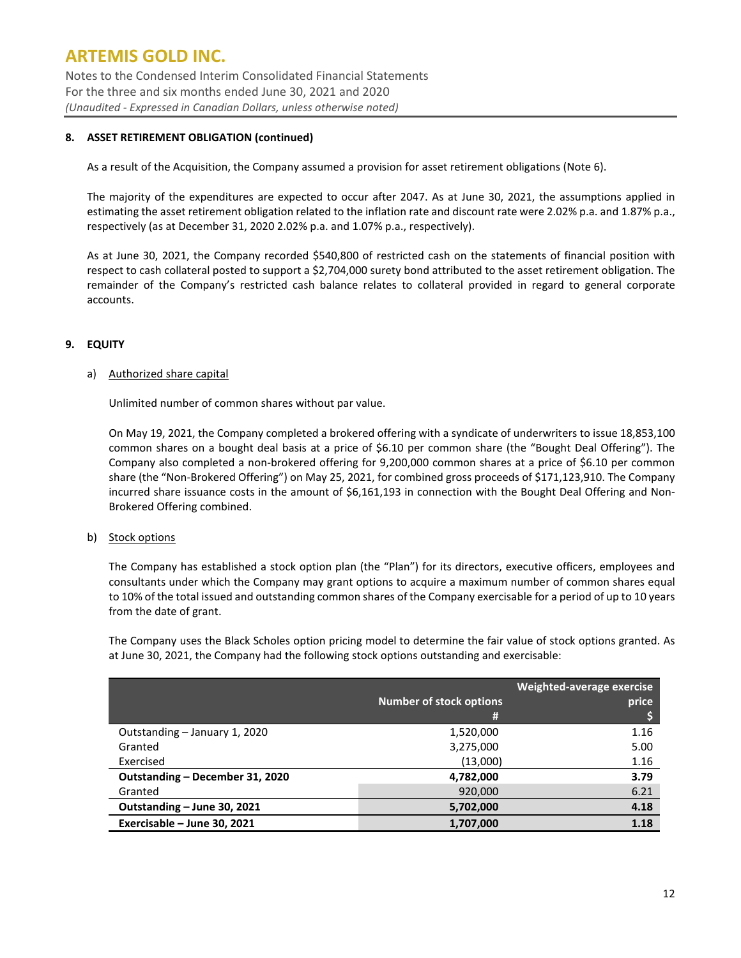Notes to the Condensed Interim Consolidated Financial Statements For the three and six months ended June 30, 2021 and 2020 *(Unaudited - Expressed in Canadian Dollars, unless otherwise noted)*

### **8. ASSET RETIREMENT OBLIGATION (continued)**

As a result of the Acquisition, the Company assumed a provision for asset retirement obligations (Note 6).

The majority of the expenditures are expected to occur after 2047. As at June 30, 2021, the assumptions applied in estimating the asset retirement obligation related to the inflation rate and discount rate were 2.02% p.a. and 1.87% p.a., respectively (as at December 31, 2020 2.02% p.a. and 1.07% p.a., respectively).

As at June 30, 2021, the Company recorded \$540,800 of restricted cash on the statements of financial position with respect to cash collateral posted to support a \$2,704,000 surety bond attributed to the asset retirement obligation. The remainder of the Company's restricted cash balance relates to collateral provided in regard to general corporate accounts.

### **9. EQUITY**

#### a) Authorized share capital

Unlimited number of common shares without par value.

On May 19, 2021, the Company completed a brokered offering with a syndicate of underwriters to issue 18,853,100 common shares on a bought deal basis at a price of \$6.10 per common share (the "Bought Deal Offering"). The Company also completed a non-brokered offering for 9,200,000 common shares at a price of \$6.10 per common share (the "Non-Brokered Offering") on May 25, 2021, for combined gross proceeds of \$171,123,910. The Company incurred share issuance costs in the amount of \$6,161,193 in connection with the Bought Deal Offering and Non-Brokered Offering combined.

#### b) Stock options

The Company has established a stock option plan (the "Plan") for its directors, executive officers, employees and consultants under which the Company may grant options to acquire a maximum number of common shares equal to 10% of the total issued and outstanding common shares of the Company exercisable for a period of up to 10 years from the date of grant.

The Company uses the Black Scholes option pricing model to determine the fair value of stock options granted. As at June 30, 2021, the Company had the following stock options outstanding and exercisable:

|                                 | <b>Number of stock options</b><br># | Weighted-average exercise<br>price |
|---------------------------------|-------------------------------------|------------------------------------|
| Outstanding - January 1, 2020   | 1,520,000                           | 1.16                               |
| Granted                         | 3,275,000                           | 5.00                               |
| Exercised                       | (13,000)                            | 1.16                               |
| Outstanding - December 31, 2020 | 4,782,000                           | 3.79                               |
| Granted                         | 920,000                             | 6.21                               |
| Outstanding - June 30, 2021     | 5,702,000                           | 4.18                               |
| Exercisable - June 30, 2021     | 1,707,000                           | 1.18                               |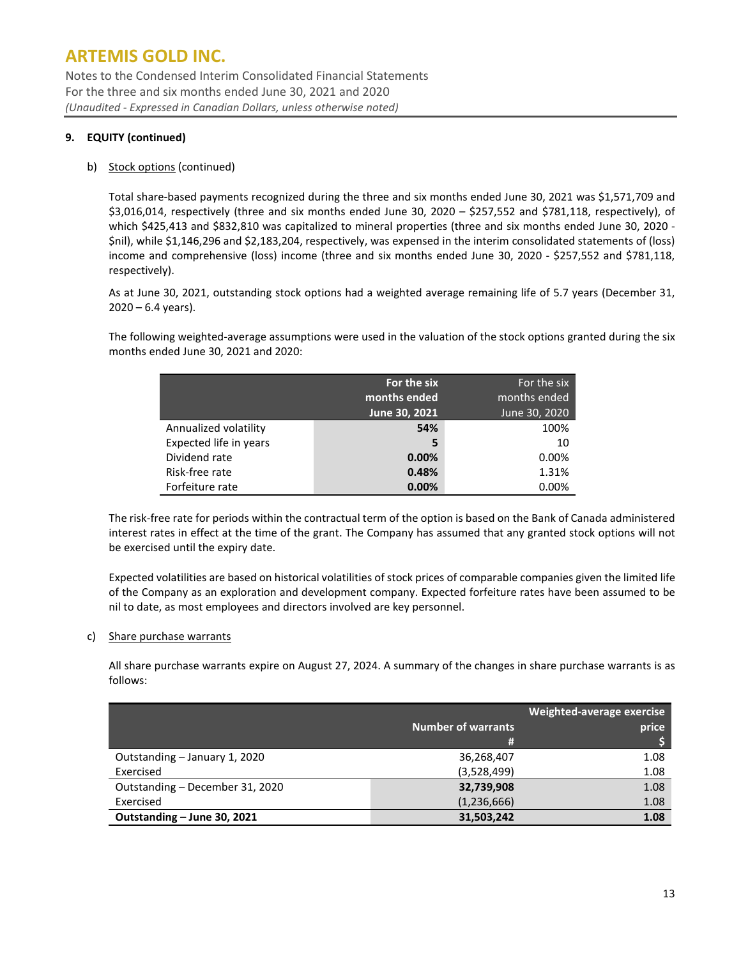Notes to the Condensed Interim Consolidated Financial Statements For the three and six months ended June 30, 2021 and 2020 *(Unaudited - Expressed in Canadian Dollars, unless otherwise noted)*

### **9. EQUITY (continued)**

#### b) Stock options (continued)

Total share-based payments recognized during the three and six months ended June 30, 2021 was \$1,571,709 and \$3,016,014, respectively (three and six months ended June 30, 2020 – \$257,552 and \$781,118, respectively), of which \$425,413 and \$832,810 was capitalized to mineral properties (three and six months ended June 30, 2020 - \$nil), while \$1,146,296 and \$2,183,204, respectively, was expensed in the interim consolidated statements of (loss) income and comprehensive (loss) income (three and six months ended June 30, 2020 - \$257,552 and \$781,118, respectively).

As at June 30, 2021, outstanding stock options had a weighted average remaining life of 5.7 years (December 31,  $2020 - 6.4$  years).

The following weighted-average assumptions were used in the valuation of the stock options granted during the six months ended June 30, 2021 and 2020:

|                        | For the six<br>months ended<br>June 30, 2021 | For the six<br>months ended<br>June 30, 2020 |
|------------------------|----------------------------------------------|----------------------------------------------|
| Annualized volatility  | 54%                                          | 100%                                         |
| Expected life in years | 5                                            | 10                                           |
| Dividend rate          | 0.00%                                        | 0.00%                                        |
| Risk-free rate         | 0.48%                                        | 1.31%                                        |
| Forfeiture rate        | 0.00%                                        | 0.00%                                        |

The risk-free rate for periods within the contractual term of the option is based on the Bank of Canada administered interest rates in effect at the time of the grant. The Company has assumed that any granted stock options will not be exercised until the expiry date.

Expected volatilities are based on historical volatilities of stock prices of comparable companies given the limited life of the Company as an exploration and development company. Expected forfeiture rates have been assumed to be nil to date, as most employees and directors involved are key personnel.

#### c) Share purchase warrants

All share purchase warrants expire on August 27, 2024. A summary of the changes in share purchase warrants is as follows:

|                                 |                           | Weighted-average exercise |
|---------------------------------|---------------------------|---------------------------|
|                                 | <b>Number of warrants</b> | price                     |
|                                 | #                         |                           |
| Outstanding - January 1, 2020   | 36,268,407                | 1.08                      |
| Exercised                       | (3,528,499)               | 1.08                      |
| Outstanding - December 31, 2020 | 32,739,908                | 1.08                      |
| Exercised                       | (1,236,666)               | 1.08                      |
| Outstanding - June 30, 2021     | 31,503,242                | 1.08                      |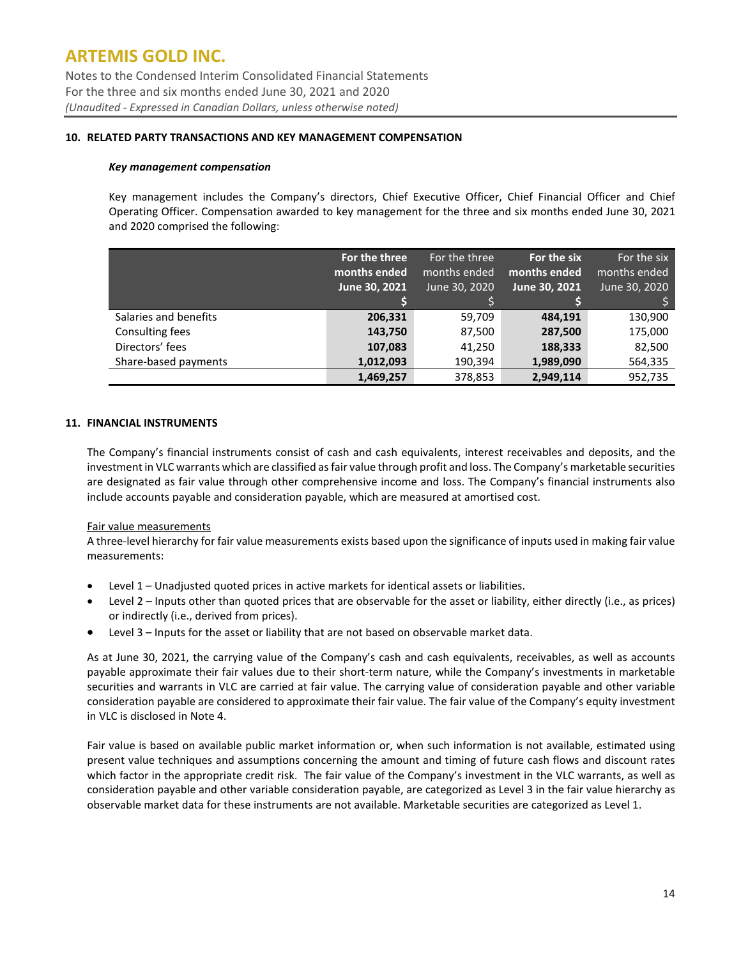Notes to the Condensed Interim Consolidated Financial Statements For the three and six months ended June 30, 2021 and 2020 *(Unaudited - Expressed in Canadian Dollars, unless otherwise noted)*

#### **10. RELATED PARTY TRANSACTIONS AND KEY MANAGEMENT COMPENSATION**

#### *Key management compensation*

Key management includes the Company's directors, Chief Executive Officer, Chief Financial Officer and Chief Operating Officer. Compensation awarded to key management for the three and six months ended June 30, 2021 and 2020 comprised the following:

|                       | For the three<br>months ended<br>June 30, 2021 | For the three<br>months ended<br>June 30, 2020 | For the six<br>months ended<br>June 30, 2021 | For the six<br>months ended<br>June 30, 2020 |
|-----------------------|------------------------------------------------|------------------------------------------------|----------------------------------------------|----------------------------------------------|
|                       |                                                |                                                |                                              |                                              |
| Salaries and benefits | 206,331                                        | 59,709                                         | 484,191                                      | 130,900                                      |
| Consulting fees       | 143,750                                        | 87,500                                         | 287,500                                      | 175,000                                      |
| Directors' fees       | 107,083                                        | 41,250                                         | 188,333                                      | 82,500                                       |
| Share-based payments  | 1,012,093                                      | 190,394                                        | 1,989,090                                    | 564,335                                      |
|                       | 1,469,257                                      | 378,853                                        | 2,949,114                                    | 952,735                                      |

#### **11. FINANCIAL INSTRUMENTS**

The Company's financial instruments consist of cash and cash equivalents, interest receivables and deposits, and the investment in VLC warrants which are classified as fair value through profit and loss. The Company's marketable securities are designated as fair value through other comprehensive income and loss. The Company's financial instruments also include accounts payable and consideration payable, which are measured at amortised cost.

#### Fair value measurements

A three-level hierarchy for fair value measurements exists based upon the significance of inputs used in making fair value measurements:

- Level 1 Unadjusted quoted prices in active markets for identical assets or liabilities.
- Level 2 Inputs other than quoted prices that are observable for the asset or liability, either directly (i.e., as prices) or indirectly (i.e., derived from prices).
- Level 3 Inputs for the asset or liability that are not based on observable market data.

As at June 30, 2021, the carrying value of the Company's cash and cash equivalents, receivables, as well as accounts payable approximate their fair values due to their short-term nature, while the Company's investments in marketable securities and warrants in VLC are carried at fair value. The carrying value of consideration payable and other variable consideration payable are considered to approximate their fair value. The fair value of the Company's equity investment in VLC is disclosed in Note 4.

Fair value is based on available public market information or, when such information is not available, estimated using present value techniques and assumptions concerning the amount and timing of future cash flows and discount rates which factor in the appropriate credit risk. The fair value of the Company's investment in the VLC warrants, as well as consideration payable and other variable consideration payable, are categorized as Level 3 in the fair value hierarchy as observable market data for these instruments are not available. Marketable securities are categorized as Level 1.